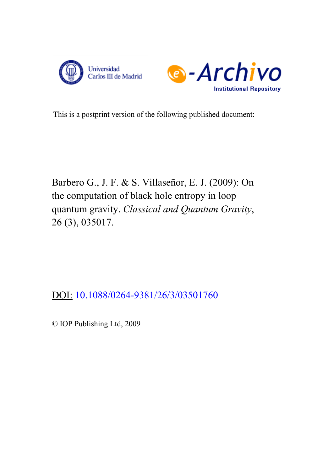



This is a postprint version of the following published document:

Barbero G., J. F. & S. Villaseñor, E. J. (2009): On the computation of black hole entropy in loop quantum gravity. *Classical and Quantum Gravity*, 26 (3), 035017.

DOI: [10.1088/0264-9381/26/3/03501760](https://dx.doi.org/10.1088/0264-9381/26/3/035017)

© IOP Publishing Ltd, 2009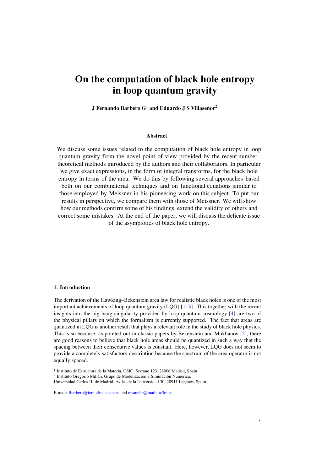# **On the computation of black hole entropy in loop quantum gravity**

**J Fernando Barbero G<sup>1</sup> and Eduardo J S Villaseñor<sup>2</sup>** 

## **Abstract**

We discuss some issues related to the computation of black hole entropy in loop quantum gravity from the novel point of view provided by the recent numbertheoretical methods introduced by the authors and their collaborators. In particular we give exact expressions, in the form of integral transforms, for the black hole entropy in terms of the area. We do this by following several approaches based both on our combinatorial techniques and on functional equations similar to those employed by Meissner in his pioneering work on this subject. To put our results in perspective, we compare them with those of Meissner. We will show how our methods confirm some of his findings, extend the validity of others and correct some mistakes. At the end of the paper, we will discuss the delicate issue of the asymptotics of black hole entropy.

### **1. Introduction**

The derivation of the Hawking–Bekenstein area law for realistic black holes is one of the most important achievements of loop quantum gravity  $(LOG)$   $[1–3]$ . This together with the recent insights into the big bang singularity provided by loop quantum cosmology [4] are two of the physical pillars on which the formalism is currently supported. The fact that areas are quantized in LQG is another result that plays a relevant ro[le](#page-22-0) i[n](#page-22-0) the study of black hole physics. This is so because, as pointed out in classic papers by Bekenstein and Mukha[no](#page-22-0)v [5], there are good reasons to believe that black hole areas should be quantized in such a way that the spacing between their consecutive values is constant. Here, however, LQG does not seem to provide a completely satisfactory description because the spectrum of the area opera[to](#page-22-0)r is not equally spaced.

<sup>1</sup> Instituto de Estructura de la Materia, CSIC, Serrano 123, 28006 Madrid, Spain

 $2$  Instituto Gregorio Millán, Grupo de Modelización y Simulación Numérica,

Universidad Carlos III de Madrid, Avda. de la Universidad 30, 28911 Leganes, Spain ´

E-mail: fbarbero@iem.cfmac.csic.es and ejsanche@math.uc3m.es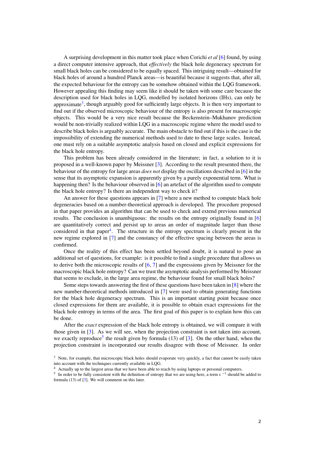A surprising development in this matter took place when Corichi *et al* [\[6\]](#page-22-0) found, by using a direct computer intensive approach, that *effectively* the black hole degeneracy spectrum for small black holes can be considered to be equally spaced. This intriguing result—obtained for black holes of around a hundred Planck areas—is beautiful because it suggests that, after all, the expected behaviour for the entropy can be somehow obtained within the LQG framework. However appealing this finding may seem like it should be taken with some care because the description used for black holes in LQG, modelled by isolated horizons (IHs), can only be approximate<sup>3</sup>, though arguably good for sufficiently large objects. It is then very important to find out if the observed microscopic behaviour of the entropy is also present for macroscopic objects. This would be a very nice result because the Beckenstein–Mukhanov prediction would be non-trivially realized within LQG in a macroscopic regime where the model used to describe black holes is arguably accurate. The main obstacle to find out if this is the case is the impossibility of extending the numerical methods used to date to these large scales. Instead, one must rely on a suitable asymptotic analysis based on closed and explicit expressions for the black hole entropy.

This problem has been already considered in the literature; in fact, a solution to it is proposed in a well-known paper by Meissner [\[3](#page-22-0)]. According to the result presented there, the behaviour of the entropy for large areas *does not* display the oscillations described in [\[6](#page-22-0)] in the sense that its asymptotic expansion is apparently given by a purely exponential term. What is happening then? Is the behaviour observed in [\[6](#page-22-0)] an artefact of the algorithm used to compute the black hole entropy? Is there an independent way to check it?

An answer for these questions appears in [\[7](#page-22-0)] where a new method to compute black hole degeneracies based on a number-theoretical approach is developed. The procedure proposed in that paper provides an algorithm that can be used to check and extend previous numerical results. The conclusion is unambiguous: the results on the entropy originally found in [\[6\]](#page-22-0) are quantitatively correct and persist up to areas an order of magnitude larger than those considered in that paper4. The structure in the entropy spectrum is clearly present in the new regime explored in [\[7\]](#page-22-0) and the constancy of the effective spacing between the areas is confirmed.

Once the reality of this effect has been settled beyond doubt, it is natural to pose an additional set of questions, for example: is it possible to find a single procedure that allows us to derive both the microscopic results of [\[6,](#page-22-0) [7\]](#page-22-0) and the expressions given by Meissner for the macroscopic black hole entropy? Can we trust the asymptotic analysis performed by Meissner that seems to exclude, in the large area regime, the behaviour found for small black holes?

Some steps towards answering the first of these questions have been taken in [\[8](#page-22-0)] where the new number-theoretical methods introduced in [\[7\]](#page-22-0) were used to obtain generating functions for the black hole degeneracy spectrum. This is an important starting point because once closed expressions for them are available, it is possible to obtain exact expressions for the black hole entropy in terms of the area. The first goal of this paper is to explain how this can be done.

After the *exact* expression of the black hole entropy is obtained, we will compare it with those given in [\[3\]](#page-22-0). As we will see, when the projection constraint is not taken into account, we exactly reproduce<sup>5</sup> the result given by formula (13) of [\[3\]](#page-22-0). On the other hand, when the projection constraint is incorporated our results disagree with those of Meissner. In order

<sup>&</sup>lt;sup>3</sup> Note, for example, that microscopic black holes should evaporate very quickly, a fact that cannot be easily taken into account with the techniques currently available in LQG.

<sup>4</sup> Actually up to the largest areas that we have been able to reach by using laptops or personal computers.

<sup>&</sup>lt;sup>5</sup> In order to be fully consistent with the definition of entropy that we are using here, a term s<sup>-1</sup> should be added to formula (13) of [\[3](#page-22-0)]. We will comment on this later.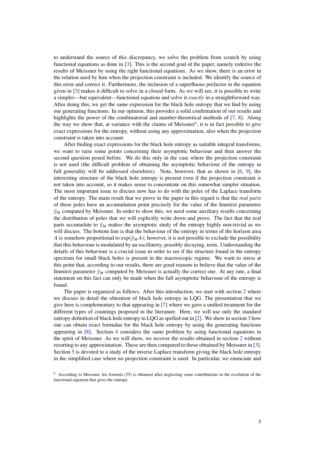to understand the source of this discrepancy, we solve the problem from scratch by using functional equations as done in [\[3](#page-22-0)]. This is the second goal of the paper, namely rederive the results of Meissner by using the right functional equations. As we show, there is an error in the relation used by him when the projection constraint is included. We identify the source of this error and correct it. Furthermore, the inclusion of a superfluous prefactor in the equation given in [\[3](#page-22-0)] makes it difficult to solve in a closed form. As we will see, it is possible to write a simpler—but equivalent—functional equation and solve it *exactly* in a straightforward way. After doing this, we get the same expression for the black hole entropy that we find by using our generating functions. In our opinion, this provides a solid confirmation of our results and highlights the power of the combinatorial and number-theoretical methods of [\[7](#page-22-0), [8\]](#page-22-0). Along the way we show that, at variance with the claims of Meissner<sup>6</sup>, it is in fact possible to give exact expressions for the entropy, without using any approximation, also when the projection constraint is taken into account.

After finding exact expressions for the black hole entropy as suitable integral transforms, we want to raise some points concerning their asymptotic behaviour and then answer the second question posed before. We do this only in the case where the projection constraint is not used (the difficult problem of obtaining the asymptotic behaviour of the entropy in full generality will be addressed elsewhere). Note, however, that as shown in [\[6](#page-22-0), [9\]](#page-22-0), the interesting structure of the black hole entropy is present even if the projection constraint is not taken into account, so it makes sense to concentrate on this somewhat simpler situation. The most important issue to discuss now has to do with the poles of the Laplace transform of the entropy. The main result that we prove in the paper in this regard is that the *real parts* of these poles have an accumulation point precisely for the value of the Immirzi parameter *γ*˜*<sup>M</sup>* computed by Meissner. In order to show this, we need some auxiliary results concerning the distribution of poles that we will explicitly write down and prove. The fact that the real parts accumulate to  $\tilde{\gamma}_M$  makes the asymptotic study of the entropy highly non-trivial as we will discuss. The bottom line is that the behaviour of the entropy in terms of the horizon area *A* is somehow proportional to  $exp(\tilde{\gamma}_M A)$ ; however, it is not possible to exclude the possibility that this behaviour is modulated by an oscillatory, possibly decaying, term. Understanding the details of this behaviour is a crucial issue in order to see if the structure found in the entropy spectrum for small black holes is present in the macroscopic regime. We want to stress at this point that, according to our results, there are good reasons to believe that the value of the Immirzi parameter  $\tilde{\gamma}_M$  computed by Meissner is actually the correct one. At any rate, a final statement on this fact can only be made when the full asymptotic behaviour of the entropy is found.

The paper is organized as follows. After this introduction, we start with section [2](#page-4-0) where we discuss in detail the obtention of black hole entropy in LQG. The presentation that we give here is complementary to that appearing in [\[7](#page-22-0)] where we gave a unified treatment for the different types of countings proposed in the literature. Here, we will use only the standard entropy definition of black hole entropy in LQG as spelled out in [\[2](#page-22-0)]. We show in section [3](#page-8-0) how one can obtain exact formulae for the black hole entropy by using the generating functions appearing in [\[8](#page-22-0)]. Section [4](#page-13-0) considers the same problem by using functional equations in the spirit of Meissner. As we will show, we recover the results obtained in section [2](#page-4-0) without resorting to any approximation. These are then compared to those obtained by Meissner in [\[3](#page-22-0)]. Section [5](#page-17-0) is devoted to a study of the inverse Laplace transform giving the black hole entropy in the simplified case where no projection constraint is used. In particular, we enunciate and

<sup>6</sup> According to Meissner, his formula (35) is obtained after neglecting some contributions in the resolution of the functional equation that gives the entropy.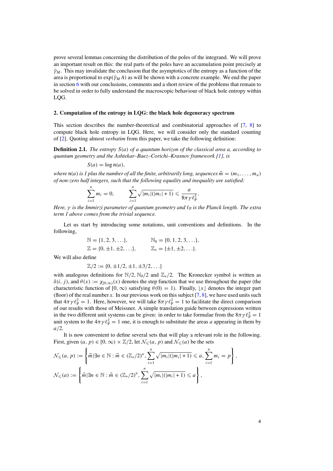<span id="page-4-0"></span>prove several lemmas concerning the distribution of the poles of the integrand. We will prove an important result on this: the real parts of the poles have an accumulation point precisely at  $\tilde{\gamma}_M$ . This may invalidate the conclusion that the asymptotics of the entropy as a function of the area is proportional to  $\exp(\tilde{\gamma}_M A)$  as will be shown with a concrete example. We end the paper in section [6](#page-20-0) with our conclusions, comments and a short review of the problems that remain to be solved in order to fully understand the macroscopic behaviour of black hole entropy within LQG.

## **2. Computation of the entropy in LQG: the black hole degeneracy spectrum**

This section describes the number-theoretical and combinatorial approaches of [\[7,](#page-22-0) [8](#page-22-0)] to compute black hole entropy in LQG. Here, we will consider only the standard counting of [\[2](#page-22-0)]. Quoting almost *verbatim* from this paper, we take the following definition:

**Definition 2.1.** *The entropy S(a) of a quantum horizon of the classical area a, according to quantum geometry and the Ashtekar–Baez–Corichi–Krasnov framework [\[1](#page-22-0)], is*

$$
S(a) = \log \mathfrak{n}(a),
$$

where  $\mathfrak{n}(a)$  is  $1$  plus the number of all the finite, arbitrarily long, sequences  $\vec{m}=(m_1,\ldots,m_n)$ *of non-zero half integers, such that the following equality and inequality are satisfied:*

$$
\sum_{i=1}^{n} m_i = 0, \qquad \sum_{i=1}^{n} \sqrt{|m_i|(|m_i|+1)} \leq \frac{a}{8\pi \gamma \ell_P^2}.
$$

*Here, γ is the Immirzi parameter of quantum geometry and*  $\ell_p$  *is the Planck length. The extra term 1 above comes from the trivial sequence.*

Let us start by introducing some notations, unit conventions and definitions. In the following,

$$
\mathbb{N} = \{1, 2, 3, \ldots\}, \qquad \mathbb{N}_0 = \{0, 1, 2, 3, \ldots\},
$$
  

$$
\mathbb{Z} = \{0, \pm 1, \pm 2, \ldots\}, \qquad \mathbb{Z}_* = \{\pm 1, \pm 2, \ldots\}.
$$

We will also define

$$
\mathbb{Z}/2 := \{0, \pm 1/2, \pm 1, \pm 3/2, \ldots\}
$$

with analogous definitions for  $N/2$ ,  $N_0/2$  and  $\mathbb{Z}_*/2$ . The Kronecker symbol is written as  $\delta(i, j)$ , and  $\theta(x) := \chi_{[0,\infty)}(x)$  denotes the step function that we use throughout the paper (the characteristic function of  $[0, \infty)$  satisfying  $\theta(0) = 1$ ). Finally,  $|x|$  denotes the integer part (floor) of the real number *x*. In our previous work on this subject [\[7](#page-22-0), [8\]](#page-22-0), we have used units such that  $4\pi\gamma \ell_{\rm P}^2 = 1$ . Here, however, we will take  $8\pi \gamma \ell_{\rm P}^2 = 1$  to facilitate the direct comparison of our results with those of Meissner. A simple translation guide between expressions written in the two different unit systems can be given: in order to take formulae from the  $8\pi\gamma \ell_{\rm P}^2 = 1$ unit system to the  $4\pi \gamma \ell_{\rm P}^2 = 1$  one, it is enough to substitute the areas *a* appearing in them by *a/*2.

It is now convenient to define several sets that will play a relevant role in the following. First, given  $(a, p) \in [0, \infty) \times \mathbb{Z}/2$ , let  $\mathcal{N}_{\leq}(a, p)$  and  $\mathcal{N}_{\leq}(a)$  be the sets

$$
\mathcal{N}_{\leq}(a, p) := \left\{\vec{m} | \exists n \in \mathbb{N} : \vec{m} \in (\mathbb{Z}_{*}/2)^{n}, \sum_{i=1}^{n} \sqrt{|m_{i}|(|m_{i}| + 1)} \leq a, \sum_{i=1}^{n} m_{i} = p\right\},
$$
  

$$
\mathcal{N}_{\leq}(a) := \left\{\vec{m} | \exists n \in \mathbb{N} : \vec{m} \in (\mathbb{Z}_{*}/2)^{n}, \sum_{i=1}^{n} \sqrt{|m_{i}|(|m_{i}| + 1)} \leq a\right\},
$$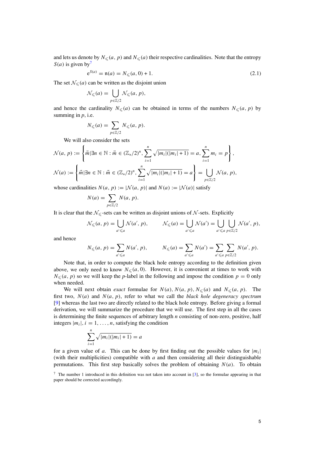<span id="page-5-0"></span>and lets us denote by  $N_{\leq}(a, p)$  and  $N_{\leq}(a)$  their respective cardinalities. Note that the entropy  $S(a)$  is given by<sup>7</sup>

$$
e^{S(a)} = \mathfrak{n}(a) = N_{\leqslant}(a, 0) + 1. \tag{2.1}
$$

The set  $\mathcal{N}_{\leq}(a)$  can be written as the disjoint union

$$
\mathcal{N}_{\leqslant}(a) = \bigcup_{p \in \mathbb{Z}/2} \mathcal{N}_{\leqslant}(a, p),
$$

and hence the cardinality  $N_{\leq}(a)$  can be obtained in terms of the numbers  $N_{\leq}(a, p)$  by summing in *p*, i.e.

$$
N_{\leqslant}(a)=\sum_{p\in\mathbb{Z}/2}N_{\leqslant}(a,\,p).
$$

We will also consider the sets

$$
\mathcal{N}(a, p) := \left\{ \vec{m} | \exists n \in \mathbb{N} : \vec{m} \in (\mathbb{Z}_*/2)^n, \sum_{i=1}^n \sqrt{|m_i|(|m_i|+1)} = a, \sum_{i=1}^n m_i = p \right\},
$$
  

$$
\mathcal{N}(a) := \left\{ \vec{m} | \exists n \in \mathbb{N} : \vec{m} \in (\mathbb{Z}_*/2)^n, \sum_{i=1}^n \sqrt{|m_i|(|m_i|+1)} = a \right\} = \bigcup_{p \in \mathbb{Z}/2} \mathcal{N}(a, p),
$$

whose cardinalities  $N(a, p) := |N(a, p)|$  and  $N(a) := |N(a)|$  satisfy

$$
N(a) = \sum_{p \in \mathbb{Z}/2} N(a, p).
$$

It is clear that the  $\mathcal{N}_{\leq}$ -sets can be written as disjoint unions of  $\mathcal{N}$ -sets. Explicitly

$$
\mathcal{N}_{\leqslant}(a, p) = \bigcup_{a' \leqslant a} \mathcal{N}(a', p), \qquad \mathcal{N}_{\leqslant}(a) = \bigcup_{a' \leqslant a} \mathcal{N}(a') = \bigcup_{a' \leqslant a} \bigcup_{p \in \mathbb{Z}/2} \mathcal{N}(a', p),
$$

and hence

$$
N_{\leq}(a, p) = \sum_{a' \leq a} N(a', p), \qquad N_{\leq}(a) = \sum_{a' \leq a} N(a') = \sum_{a' \leq a} \sum_{p \in \mathbb{Z}/2} N(a', p).
$$

Note that, in order to compute the black hole entropy according to the definition given above, we only need to know  $N_{\leq}(a, 0)$ . However, it is convenient at times to work with  $N_{\leq}(a, p)$  so we will keep the *p*-label in the following and impose the condition  $p = 0$  only when needed.

We will next obtain *exact* formulae for  $N(a)$ ,  $N(a, p)$ ,  $N_{\leq}(a)$  and  $N_{\leq}(a, p)$ . The first two, *N (a)* and *N (a, p)*, refer to what we call the *black hole degeneracy spectrum* [\[9\]](#page-22-0) whereas the last two are directly related to the black hole entropy. Before giving a formal derivation, we will summarize the procedure that we will use. The first step in all the cases is determining the finite sequences of arbitrary length *n* consisting of non-zero, positive, half integers  $|m_i|, i = 1, \ldots, n$ , satisfying the condition

$$
\sum_{i=1}^{n} \sqrt{|m_i|(|m_i|+1)} = a
$$

for a given value of *a*. This can be done by first finding out the possible values for  $|m_i|$ (with their multiplicities) compatible with *a* and then considering all their distinguishable permutations. This first step basically solves the problem of obtaining  $N(a)$ . To obtain

 $7$  The number 1 introduced in this definition was not taken into account in [\[3](#page-22-0)], so the formulae appearing in that paper should be corrected accordingly.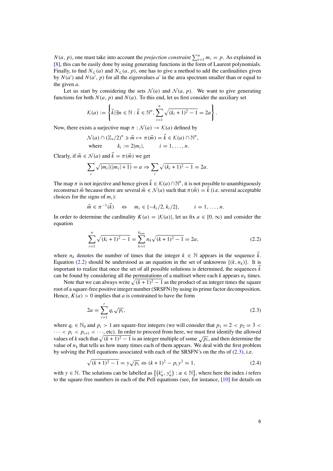*N*(*a*, *p*), one must take into account the *projection constraint*  $\sum_{i=1}^{n} m_i = p$ . As explained in [\[8\]](#page-22-0), this can be easily done by using generating functions in the form of Laurent polynomials. Finally, to find  $N_{\leq}(a)$  and  $N_{\leq}(a, p)$ , one has to give a method to add the cardinalities given by  $N(a')$  and  $N(a', p)$  for all the eigenvalues  $a'$  in the area spectrum smaller than or equal to the given *a*.

Let us start by considering the sets  $\mathcal{N}(a)$  and  $\mathcal{N}(a, p)$ . We want to give generating functions for both  $N(a, p)$  and  $N(a)$ . To this end, let us first consider the auxiliary set

$$
\mathcal{K}(a) := \left\{ \vec{k} | \exists n \in \mathbb{N} : \vec{k} \in \mathbb{N}^n, \sum_{i=1}^n \sqrt{(k_i+1)^2 - 1} = 2a \right\}.
$$

Now, there exists a surjective map  $\pi : \mathcal{N}(a) \to \mathcal{K}(a)$  defined by

$$
\mathcal{N}(a) \cap (\mathbb{Z}_*/2)^n \ni \vec{m} \mapsto \pi(\vec{m}) = \vec{k} \in \mathcal{K}(a) \cap \mathbb{N}^n,
$$
  
where  $k_i := 2|m_i|, \qquad i = 1, ..., n.$ 

Clearly, if  $\vec{m} \in \mathcal{N}(a)$  and  $\vec{k} = \pi(\vec{m})$  we get

$$
\sum_{i} \sqrt{|m_i|(|m_i|+1)} = a \Rightarrow \sum_{i} \sqrt{(k_i+1)^2 - 1} = 2a.
$$

The map  $\pi$  is not injective and hence given  $\vec{k} \in \mathcal{K}(a) \cap \mathbb{N}^n$ , it is not possible to unambiguously reconstruct  $\vec{m}$  because there are several  $\vec{m} \in \mathcal{N}(a)$  such that  $\pi(\vec{m}) = \vec{k}$  (i.e. several acceptable choices for the signs of  $m_i$ ):

$$
\vec{m} \in \pi^{-1}(\vec{k}) \quad \Leftrightarrow \quad m_i \in \{-k_i/2, k_i/2\}, \qquad i = 1, \ldots, n.
$$

In order to determine the cardinality  $K(a) = |K(a)|$ , let us fix  $a \in [0, \infty)$  and consider the equation

$$
\sum_{i=1}^{n} \sqrt{(k_i+1)^2 - 1} = \sum_{k=1}^{k_{\text{max}}} n_k \sqrt{(k+1)^2 - 1} = 2a,\tag{2.2}
$$

where  $n_k$  denotes the number of times that the integer  $k \in \mathbb{N}$  appears in the sequence  $\vec{k}$ . Equation (2.2) should be understood as an equation in the set of unknowns  $\{(k, n_k)\}\$ . It is important to realize that once the set of all possible solutions is determined, the sequences  $\vec{k}$ can be found by considering all the permutations of a multiset where each  $k$  appears  $n_k$  times.

Note that we can always write  $\sqrt{(k+1)^2-1}$  as the product of an integer times the square root of a square-free positive integer number (SRSFN) by using its prime factor decomposition. Hence,  $K(a) > 0$  implies that *a* is constrained to have the form

$$
2a = \sum_{i=1}^{r} q_i \sqrt{p_i},\tag{2.3}
$$

where  $q_i \in \mathbb{N}_0$  and  $p_i > 1$  are square-free integers (we will consider that  $p_1 = 2 < p_2 = 3 <$  $\cdots$  <  $p_i$  <  $p_{i+1}$  <  $\cdots$ , etc). In order to proceed from here, we must first identify the allowed values of *k* such that  $\sqrt{(k+1)^2-1}$  is an integer multiple of some  $\sqrt{p_i}$ , and then determine the value of  $n_k$  that tells us how many times each of them appears. We deal with the first problem by solving the Pell equations associated with each of the SRSFN's on the rhs of (2*.*3), i.e.

$$
\sqrt{(k+1)^2 - 1} = y\sqrt{p_i} \Leftrightarrow (k+1)^2 - p_i y^2 = 1,
$$
\n(2.4)

with  $y \in \mathbb{N}$ . The solutions can be labelled as  $\{(k^i_\alpha, y^i_\alpha) : \alpha \in \mathbb{N}\}\)$ , where here the index *i* refers to the square-free numbers in each of the Pell equations (see, for instance, [\[10](#page-22-0)] for details on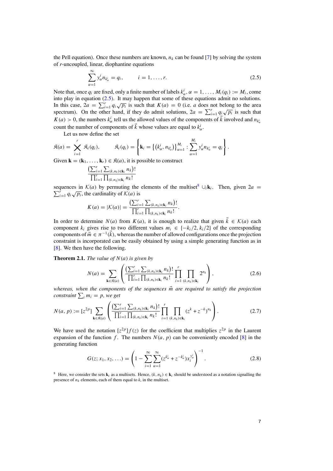<span id="page-7-0"></span>the Pell equation). Once these numbers are known,  $n_k$  can be found [\[7\]](#page-22-0) by solving the system of *r*-uncoupled, linear, diophantine equations

$$
\sum_{\alpha=1}^{\infty} y_{\alpha}^{i} n_{k_{\alpha}^{i}} = q_{i}, \qquad i = 1, ..., r.
$$
 (2.5)

Note that, once  $q_i$  are fixed, only a finite number of labels  $k^i_\alpha$ ,  $\alpha = 1, \ldots, M_i(q_i) := M_i$ , come into play in equation (2*.*5). It may happen that some of these equations admit no solutions. In this case,  $2a = \sum_{i=1}^{r} q_i \sqrt{p_i}$  is such that  $K(a) = 0$  (i.e. *a* does not belong to the area in ans case,  $2a = \sum_{i=1}^{n} q_i \sqrt{p_i}$  is such that  $K(a) = 0$  (i.e. *a* does not belong to the area spectrum). On the other hand, if they do admit solutions,  $2a = \sum_{i=1}^{n} q_i \sqrt{p_i}$  is such that  $K(a) > 0$ , the numbers  $k^i_\alpha$  tell us the allowed values of the components of  $\vec{k}$  involved and  $n_{k^i_\alpha}$ count the number of components of  $\vec{k}$  whose values are equal to  $k^i_{\alpha}$ .

Let us now define the set

∞

$$
\mathfrak{K}(a) = \sum_{i=1}^r \mathfrak{K}_i(q_i), \qquad \mathfrak{K}_i(q_i) = \left\{ \mathbf{k}_i = \left\{ \left( k_\alpha^i, n_{k_\alpha^i} \right) \right\}_{\alpha=1}^{M_i} : \sum_{\alpha=1}^{M_i} y_\alpha^i n_{k_\alpha^i} = q_i \right\}.
$$

Given  $\mathbf{k} = (\mathbf{k}_1, \dots, \mathbf{k}_r) \in \mathfrak{K}(a)$ , it is possible to construct

$$
\frac{\left(\sum_{i=1}^r\sum_{(k,n_k)\in\mathbf{k}_i}n_k\right)!}{\prod_{i=1}^r\prod_{(k,n_k)\in\mathbf{k}_i}n_k!}
$$

sequences in  $\mathcal{K}(a)$  by permuting the elements of the multiset<sup>8</sup> ∪*<sub>i</sub>***k***<sub>i</sub>*. Then, given  $2a = \sum_{n=1}^{r} a_n \sqrt{n}$ , the exidentity of  $\mathcal{K}(a)$  is  $\sum_{i=1}^{r} q_i \sqrt{p_i}$ , the cardinality of  $K(a)$  is

$$
K(a) = |\mathcal{K}(a)| = \frac{\left(\sum_{i=1}^{r} \sum_{(k,n_k)\in\mathbf{k}_i} n_k\right)!}{\prod_{i=1}^{r} \prod_{(k,n_k)\in\mathbf{k}_i} n_k!}.
$$

In order to determine  $N(a)$  from  $K(a)$ , it is enough to realize that given  $\vec{k} \in \mathcal{K}(a)$  each component  $k_i$  gives rise to two different values  $m_i \in \{-k_i/2, k_i/2\}$  of the corresponding components of  $\vec{m} \in \pi^{-1}(\vec{k})$ , whereas the number of allowed configurations once the projection constraint is incorporated can be easily obtained by using a simple generating function as in [\[8\]](#page-22-0). We then have the following.

**Theorem 2.1.** *The value of*  $N(a)$  *is given by* 

$$
N(a) = \sum_{\mathbf{k} \in \mathfrak{K}(a)} \left( \frac{\left( \sum_{i=1}^{r} \sum_{(k,n_k) \in \mathbf{k}_i} n_k \right)!}{\prod_{i=1}^{r} \prod_{(k,n_k) \in \mathbf{k}_i} n_k!} \prod_{i=1}^{r} \prod_{(k,n_k) \in \mathbf{k}_i} 2^{n_k} \right),
$$
(2.6)

*whereas, when the components of the sequences m*- *are required to satisfy the projection constraint*  $\sum_{i} m_i = p$ *, we get* 

$$
N(a, p) := [z^{2p}] \sum_{\mathbf{k} \in \mathfrak{K}(a)} \left( \frac{\left( \sum_{i=1}^{r} \sum_{(k, n_k) \in \mathbf{k}_i} n_k \right)!}{\prod_{i=1}^{r} \prod_{(k, n_k) \in \mathbf{k}_i} n_k!} \prod_{i=1}^{r} \prod_{(k, n_k) \in \mathbf{k}_i} (z^k + z^{-k})^{n_k} \right).
$$
 (2.7)

We have used the notation  $[z^{2p}]f(z)$  for the coefficient that multiplies  $z^{2p}$  in the Laurent expansion of the function *f*. The numbers  $N(a, p)$  can be conveniently encoded [\[8](#page-22-0)] in the generating function

$$
G(z; x_1, x_2, \ldots) = \left(1 - \sum_{i=1}^{\infty} \sum_{\alpha=1}^{\infty} (z^{k_{\alpha}^i} + z^{-k_{\alpha}^i}) x_i^{y_{\alpha}^i}\right)^{-1}.
$$
 (2.8)

<sup>8</sup> Here, we consider the sets  $\mathbf{k}_i$  as a multisets. Hence,  $(k, n_k) \in \mathbf{k}_i$  should be understood as a notation signalling the presence of  $n_k$  elements, each of them equal to  $k$ , in the multiset.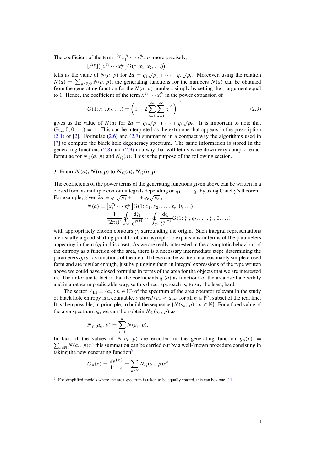<span id="page-8-0"></span>The coefficient of the term  $z^{2p}x_1^{q_1}\cdots x_r^{q_r}$ , or more precisely,

$$
[z^{2p}][[x_1^{q_1}\cdots x_r^{q_r}]G(z;x_1,x_2,\ldots)),
$$

tells us the value of  $N(a, p)$  for  $2a = q_1 \sqrt{p_1} + \cdots + q_r \sqrt{p_r}$ . Moreover, using the relation  $N(a) = \sum_{p \in \mathbb{Z}/2} N(a, p)$ , the generating functions for the numbers  $N(a)$  can be obtained from the generating function for the *N (a, p)* numbers simply by setting the *z*-argument equal to 1. Hence, the coefficient of the term  $x_1^{q_1} \cdots x_r^{q_r}$  in the power expansion of

$$
G(1; x_1, x_2, \ldots) = \left(1 - 2\sum_{i=1}^{\infty} \sum_{\alpha=1}^{\infty} x_i^{y_i^i}\right)^{-1}
$$
 (2.9)

gives us the value of *N(a)* for  $2a = q_1 \sqrt{p_1} + \cdots + q_r \sqrt{p_r}$ . It is important to note that  $G(z; 0, 0, ...) = 1$ . This can be interpreted as the extra one that appears in the prescription (2*.*[1\)](#page-5-0) of [\[2\]](#page-22-0). Formulae [\(2](#page-7-0)*.*6) and (2*.*[7\)](#page-7-0) summarize in a compact way the algorithms used in [\[7\]](#page-22-0) to compute the black hole degeneracy spectrum. The same information is stored in the generating functions [\(2](#page-7-0)*.*8) and (2*.*9) in a way that will let us write down very compact exact formulae for  $N_{\leq}(a, p)$  and  $N_{\leq}(a)$ . This is the purpose of the following section.

# **3.** From  $N(a)$ ,  $N(a, p)$  to  $N_{\leqslant}(a), N_{\leqslant}(a, p)$

The coefficients of the power terms of the generating functions given above can be written in a closed form as multiple contour integrals depending on *q*1*,...,qr* by using Cauchy's theorem. For example, given  $2a = q_1 \sqrt{p_1} + \cdots + q_r \sqrt{p_r}$ ,

$$
N(a) = [x_1^{q_1} \cdots x_r^{q_r}] G(1; x_1, x_2, \dots, x_r, 0, \dots)
$$
  
= 
$$
\frac{1}{(2\pi i)^r} \oint_{\gamma_1} \frac{d\zeta_1}{\zeta_1^{q_1+1}} \cdots \oint_{\gamma_r} \frac{d\zeta_r}{\zeta_r^{q_r+1}} G(1; \zeta_1, \zeta_2, \dots, \zeta_r, 0, \dots)
$$

with appropriately chosen contours  $\gamma_i$  surrounding the origin. Such integral representations are usually a good starting point to obtain asymptotic expansions in terms of the parameters appearing in them  $(q_i)$  in this case). As we are really interested in the asymptotic behaviour of the entropy as a function of the area, there is a necessary intermediate step: determining the parameters  $q_i(a)$  as functions of the area. If these can be written in a reasonably simple closed form and are regular enough, just by plugging them in integral expressions of the type written above we could have closed formulae in terms of the area for the objects that we are interested in. The unfortunate fact is that the coefficients  $q_i(a)$  as functions of the area oscillate wildly and in a rather unpredictable way, so this direct approach is, to say the least, hard.

The sector  $A_{\text{IH}} = \{a_n : n \in \mathbb{N}\}\$  of the spectrum of the area operator relevant in the study of black hole entropy is a countable, *ordered* ( $a_n < a_{n+1}$  for all  $n \in \mathbb{N}$ ), subset of the real line. It is then possible, in principle, to build the sequence  $\{N(a_n, p) : n \in \mathbb{N}\}\$ . For a fixed value of the area spectrum  $a_n$ , we can then obtain  $N_{\leq}(a_n, p)$  as

$$
N_{\leqslant}(a_n, p) = \sum_{i=1}^n N(a_i, p).
$$

In fact, if the values of  $N(a_n, p)$  are encoded in the generating function  $g_p(x)$  =  $\sum_{n\in\mathbb{N}} N(a_n, p)x^n$  this summation can be carried out by a well-known procedure consisting in taking the new generating function<sup>9</sup>

$$
G_p(x) = \frac{g_p(x)}{1-x} = \sum_{n \in \mathbb{N}} N \leqslant (a_n, p)x^n.
$$

For simplified models where the area spectrum is taken to be equally spaced, this can be done [\[11](#page-22-0)].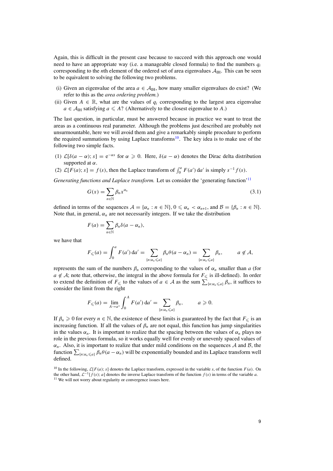<span id="page-9-0"></span>Again, this is difficult in the present case because to succeed with this approach one would need to have an appropriate way (i.e. a manageable closed formula) to find the numbers  $q_i$ corresponding to the *n*th element of the ordered set of area eigenvalues  $A_{\text{IH}}$ . This can be seen to be equivalent to solving the following two problems.

- (i) Given an eigenvalue of the area  $a \in A<sub>IH</sub>$ , how many smaller eigenvalues do exist? (We refer to this as the *area ordering problem.*)
- (ii) Given  $A \in \mathbb{R}$ , what are the values of  $q_i$  corresponding to the largest area eigenvalue *a* ∈  $A$ <sub>IH</sub> satisfying *a* ≤ *A*? (Alternatively to the closest eigenvalue to *A*.)

The last question, in particular, must be answered because in practice we want to treat the areas as a continuous real parameter. Although the problems just described are probably not unsurmountable, here we will avoid them and give a remarkably simple procedure to perform the required summations by using Laplace transforms<sup>10</sup>. The key idea is to make use of the following two simple facts.

- (1)  $\mathcal{L}[\delta(a \alpha); s] = e^{-\alpha s}$  for  $\alpha \ge 0$ . Here,  $\delta(a \alpha)$  denotes the Dirac delta distribution supported at *α*.
- (2)  $\mathcal{L}[F(a); s] = f(s)$ , then the Laplace transform of  $\int_0^a F(a') da'$  is simply  $s^{-1} f(s)$ .

*Generating functions and Laplace transform.* Let us consider the 'generating function'<sup>11</sup>

$$
G(x) = \sum_{n \in \mathbb{N}} \beta_n x^{\alpha_n} \tag{3.1}
$$

defined in terms of the sequences  $\mathcal{A} = {\alpha_n : n \in \mathbb{N}}$ ,  $0 \le \alpha_n < \alpha_{n+1}$ , and  $\mathcal{B} = {\beta_n : n \in \mathbb{N}}$ . Note that, in general,  $\alpha_n$  are not necessarily integers. If we take the distribution

$$
F(a) = \sum_{n \in \mathbb{N}} \beta_n \delta(a - \alpha_n),
$$

we have that

$$
F_{\leqslant}(a) = \int_0^a F(a') \, \mathrm{d}a' = \sum_{\{n : \alpha_n \leqslant a\}} \beta_n \theta(a - \alpha_n) = \sum_{\{n : \alpha_n \leqslant a\}} \beta_n, \qquad a \notin \mathcal{A},
$$

represents the sum of the numbers  $\beta_n$  corresponding to the values of  $\alpha_n$  smaller than *a* (for  $a \notin A$ ; note that, otherwise, the integral in the above formula for  $F_{\leq 0}$  is ill-defined). In order to extend the definition of  $F_{\leqslant}$  to the values of  $a \in A$  as the sum  $\sum_{\{n:\alpha_n \leqslant a\}} \beta_n$ , it suffices to consider the limit from the right

$$
F_{\leqslant}(a)=\lim_{A\to a^+}\int_0^A F(a')\,\mathrm{d}a'=\sum_{\{n:\alpha_n\leqslant a\}}\beta_n,\qquad a\geqslant 0.
$$

If  $\beta_n \geq 0$  for every  $n \in \mathbb{N}$ , the existence of these limits is guaranteed by the fact that  $F_{\leq 0}$  is an increasing function. If all the values of  $\beta_n$  are not equal, this function has jump singularities in the values  $\alpha_n$ . It is important to realize that the spacing between the values of  $\alpha_n$  plays no role in the previous formula, so it works equally well for evenly or unevenly spaced values of  $\alpha_n$ . Also, it is important to realize that under mild conditions on the sequences A and B, the function  $\sum_{\{n:\alpha_n\leq a\}} \beta_n \theta(a-\alpha_n)$  will be exponentially bounded and its Laplace transform well defined.

<sup>&</sup>lt;sup>10</sup> In the following,  $\mathcal{L}[F(a); s]$  denotes the Laplace transform, expressed in the variable *s*, of the function  $F(a)$ . On the other hand,  $\mathcal{L}^{-1}[f(s); a]$  denotes the inverse Laplace transform of the function  $f(s)$  in terms of the variable *a*. <sup>11</sup> We will not worry about regularity or convergence issues here.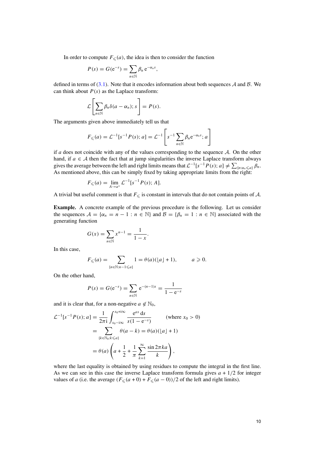In order to compute  $F_{\leq}(a)$ , the idea is then to consider the function

$$
P(s) = G(e^{-s}) = \sum_{n \in \mathbb{N}} \beta_n e^{-\alpha_n s},
$$

defined in terms of  $(3.1)$  $(3.1)$ . Note that it encodes information about both sequences  $A$  and  $B$ . We can think about  $P(s)$  as the Laplace transform:

$$
\mathcal{L}\left[\sum_{n\in\mathbb{N}}\beta_n\delta(a-\alpha_n);s\right]=P(s).
$$

The arguments given above immediately tell us that

$$
F_{\leqslant}(a) = \mathcal{L}^{-1}[s^{-1}P(s); a] = \mathcal{L}^{-1}\left[s^{-1}\sum_{n\in\mathbb{N}}\beta_n e^{-\alpha_n s}; a\right]
$$

if  $a$  does not coincide with any of the values corresponding to the sequence  $A$ . On the other hand, if  $a \in A$  then the fact that at jump singularities the inverse Laplace transform always gives the average between the left and right limits means that  $\mathcal{L}^{-1}[s^{-1}P(s); a] \neq \sum_{\{n : \alpha_n \leq a\}} \beta_n$ . As mentioned above, this can be simply fixed by taking appropriate limits from the right:

$$
F_{\leqslant}(a) = \lim_{A \to a^{+}} \mathcal{L}^{-1}[s^{-1}P(s); A].
$$

A trivial but useful comment is that  $F_{\leqslant}$  is constant in intervals that do not contain points of A.

**Example.** A concrete example of the previous procedure is the following. Let us consider the sequences  $A = \{ \alpha_n = n - 1 : n \in \mathbb{N} \}$  and  $B = \{ \beta_n = 1 : n \in \mathbb{N} \}$  associated with the generating function

$$
G(x) = \sum_{n \in \mathbb{N}} x^{n-1} = \frac{1}{1-x}.
$$

In this case,

$$
F_{\leqslant}(a) = \sum_{\{n \in \mathbb{N}: n-1 \leqslant a\}} 1 = \theta(a)(\lfloor a \rfloor + 1), \qquad a \geqslant 0.
$$

On the other hand,

$$
P(s) = G(e^{-s}) = \sum_{n \in \mathbb{N}} e^{-(n-1)s} = \frac{1}{1 - e^{-s}}
$$

and it is clear that, for a non-negative  $a \notin \mathbb{N}_0$ ,

$$
\mathcal{L}^{-1}[s^{-1}P(s); a] = \frac{1}{2\pi i} \int_{x_0 - i\infty}^{x_0 + i\infty} \frac{e^{as} ds}{s(1 - e^{-s})}
$$
 (where  $x_0 > 0$ )  
\n
$$
= \sum_{\{k \in \mathbb{N}_0 : k \le a\}} \theta(a - k) = \theta(a)(\lfloor a \rfloor + 1)
$$
  
\n
$$
= \theta(a) \left( a + \frac{1}{2} + \frac{1}{\pi} \sum_{k=1}^{\infty} \frac{\sin 2\pi k a}{k} \right),
$$

where the last equality is obtained by using residues to compute the integral in the first line. As we can see in this case the inverse Laplace transform formula gives  $a + \frac{1}{2}$  for integer values of *a* (i.e. the average  $(F_{\leq}(a+0) + F_{\leq}(a-0))/2$  of the left and right limits).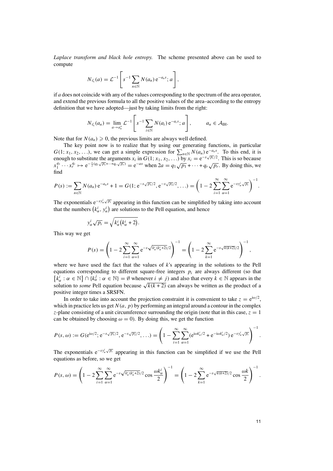*Laplace transform and black hole entropy.* The scheme presented above can be used to compute

$$
N_{\leqslant}(a)=\mathcal{L}^{-1}\left[s^{-1}\sum_{n\in\mathbb{N}}N(a_n)\,\mathrm{e}^{-a_n s};a\right],
$$

if *a* does not coincide with any of the values corresponding to the spectrum of the area operator, and extend the previous formula to all the positive values of the area–according to the entropy definition that we have adopted—just by taking limits from the right:

$$
N_{\leqslant}(a_n)=\lim_{a\to a_n^+}\mathcal{L}^{-1}\left[s^{-1}\sum_{i\in\mathbb{N}}N(a_i)\,\mathrm{e}^{-a_i s};a\right],\qquad a_n\in\mathcal{A}_{\mathrm{IH}}.
$$

Note that for  $N(a_n) \geq 0$ , the previous limits are always well defined.

The key point now is to realize that by using our generating functions, in particular  $G(1; x_1, x_2, \ldots)$ , we can get a simple expression for  $\sum_{n \in \mathbb{N}} N(a_n) e^{-a_n s}$ . To this end, it is enough to substitute the arguments  $x_i$  in  $G(1; x_1, x_2, ...)$  by  $x_i = e^{-s\sqrt{p_i}/2}$ . This is so because  $x_1^{q_1} \cdots x_r^{q_r} \mapsto e^{-\frac{x}{2}(q_1\sqrt{p_1}+\cdots+q_r\sqrt{p_r})} = e^{-as}$  when  $2a = q_1\sqrt{p_1}+\cdots+q_r\sqrt{p_r}$ . By doing this, we find

$$
P(s) := \sum_{n \in \mathbb{N}} N(a_n) e^{-a_n s} + 1 = G(1; e^{-s\sqrt{p_1}/2}, e^{-s\sqrt{p_2}/2}, \ldots) = \left(1 - 2 \sum_{i=1}^{\infty} \sum_{\alpha=1}^{\infty} e^{-s y_{\alpha}^i \sqrt{p_i}} \right)^{-1}.
$$

The exponentials e<sup>-sy<sub>*a</sub>*√<sub>*pi*</sub></sup> appearing in this function can be simplified by taking into account</sup></sub> that the numbers  $(k^i_\alpha, y^i_\alpha)$  are solutions to the Pell equation, and hence

$$
y_{\alpha}^i \sqrt{p_i} = \sqrt{k_{\alpha}^i (k_{\alpha}^i + 2)}.
$$

This way we get

$$
P(s) = \left(1 - 2\sum_{i=1}^{\infty}\sum_{\alpha=1}^{\infty}e^{-s\sqrt{k_{\alpha}^{i}(k_{\alpha}^{i}+2)}/2}\right)^{-1} = \left(1 - 2\sum_{k=1}^{\infty}e^{-s\sqrt{k(k+2)}/2}\right)^{-1},
$$

where we have used the fact that the values of *k*'s appearing in the solutions to the Pell equations corresponding to different square-free integers  $p_i$  are always different (so that  ${k_\alpha^i : \alpha \in \mathbb{N}} \cap {k_\alpha^j : \alpha \in \mathbb{N}} = \emptyset$  whenever  $i \neq j$  ) and also that every  $k \in \mathbb{N}$  appears in the solution to *some* Pell equation because  $\sqrt{k(k+2)}$  can always be written as the product of a positive integer times a SRSFN.

In order to take into account the projection constraint it is convenient to take  $z = e^{i\omega/2}$ , which in practice lets us get  $N(a, p)$  by performing an integral around a contour in the complex *z*-plane consisting of a unit circumference surrounding the origin (note that in this case,  $z = 1$ ) can be obtained by choosing  $\omega = 0$ ). By doing this, we get the function

$$
P(s,\omega) := G(e^{i\omega/2}; e^{-s\sqrt{p_1}/2}, e^{-s\sqrt{p_2}/2}, \ldots) = \left(1 - \sum_{i=1}^{\infty} \sum_{\alpha=1}^{\infty} (e^{i\omega k_{\alpha}^i/2} + e^{-i\omega k_{\alpha}^i/2}) e^{-sy_{\alpha}^i\sqrt{p_i}}\right)^{-1}.
$$

The exponentials e<sup>-sy<sub>*is*√ $\overline{p_i}$ </sub> appearing in this function can be simplified if we use the Pell</sup> equations as before, so we get

$$
P(s,\omega) = \left(1 - 2\sum_{i=1}^{\infty}\sum_{\alpha=1}^{\infty}e^{-s\sqrt{k_{\alpha}^{i}(k_{\alpha}^{i}+2)}/2}\cos\frac{\omega k_{\alpha}^{i}}{2}\right)^{-1} = \left(1 - 2\sum_{k=1}^{\infty}e^{-s\sqrt{k(k+2)}/2}\cos\frac{\omega k}{2}\right)^{-1}.
$$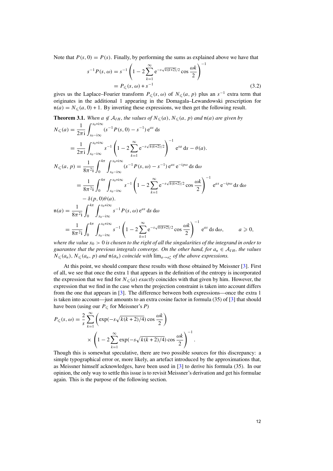<span id="page-12-0"></span>Note that  $P(s, 0) = P(s)$ . Finally, by performing the sums as explained above we have that

$$
s^{-1} P(s, \omega) = s^{-1} \left( 1 - 2 \sum_{k=1}^{\infty} e^{-s \sqrt{k(k+2)}} / 2 \cos \frac{\omega k}{2} \right)^{-1}
$$
  
=  $P_{\leqslant}(s, \omega) + s^{-1}$  (3.2)

gives us the Laplace–Fourier transform  $P_{\leqslant}(s,\omega)$  of  $N_{\leqslant}(a, p)$  plus an  $s^{-1}$  extra term that originates in the additional 1 appearing in the Domagala–Lewandowski prescription for  $n(a) = N_{\leq}(a, 0) + 1$ . By inverting these expressions, we then get the following result.

**Theorem 3.1.** When 
$$
a \notin A_{IH}
$$
, the values of  $N_{\leq}(a)$ ,  $N_{\leq}(a, p)$  and  $n(a)$  are given by  
\n
$$
N_{\leq}(a) = \frac{1}{2\pi i} \int_{x_0 - i\infty}^{x_0 + i\infty} (s^{-1} P(s, 0) - s^{-1}) e^{as} ds
$$
\n
$$
= \frac{1}{2\pi i} \int_{x_0 - i\infty}^{x_0 + i\infty} s^{-1} \left(1 - 2 \sum_{k=1}^{\infty} e^{-s\sqrt{k(k+2)}}/2\right)^{-1} e^{sa} ds - \theta(a).
$$
\n
$$
N_{\leq}(a, p) = \frac{1}{8\pi^2 i} \int_{0}^{4\pi} \int_{x_0 - i\infty}^{x_0 + i\infty} (s^{-1} P(s, \omega) - s^{-1}) e^{as} e^{-ip\omega} ds d\omega
$$
\n
$$
= \frac{1}{8\pi^2 i} \int_{0}^{4\pi} \int_{x_0 - i\infty}^{x_0 + i\infty} s^{-1} \left(1 - 2 \sum_{k=1}^{\infty} e^{-s\sqrt{k(k+2)}}/2 \cos \frac{\omega k}{2}\right)^{-1} e^{as} e^{-ip\omega} ds d\omega
$$
\n
$$
- \delta(p, 0) \theta(a).
$$
\n
$$
\mathfrak{n}(a) = \frac{1}{8\pi^2 i} \int_{0}^{4\pi} \int_{x_0 - i\infty}^{x_0 + i\infty} s^{-1} P(s, \omega) e^{as} ds d\omega
$$
\n
$$
= \frac{1}{8\pi^2 i} \int_{0}^{4\pi} \int_{x_0 - i\infty}^{x_0 + i\infty} s^{-1} \left(1 - 2 \sum_{k=1}^{\infty} e^{-s\sqrt{k(k+2)}}/2 \cos \frac{\omega k}{2}\right)^{-1} e^{as} ds d\omega, \qquad a \geq 0,
$$

*where the value*  $x_0 > 0$  *is chosen to the right of all the singularities of the integrand in order to guarantee that the previous integrals converge. On the other hand, for*  $a_n \in A_H$ , the values  $N_{\leq}(a_n)$ ,  $N_{\leq}(a_n, p)$  *and*  $\mathfrak{n}(a_n)$  *coincide with*  $\lim_{a\to a_n^+}$  *of the above expressions.* 

At this point, we should compare these results with those obtained by Meissner [\[3](#page-22-0)]. First of all, we see that once the extra 1 that appears in the definition of the entropy is incorporated the expression that we find for  $N_{\leq}(a)$  *exactly* coincides with that given by him. However, the expression that we find in the case when the projection constraint is taken into account differs from the one that appears in [\[3\]](#page-22-0). The difference between both expressions—once the extra 1 is taken into account—just amounts to an extra cosine factor in formula (35) of [\[3\]](#page-22-0) that should have been (using our  $P_{\leq}$  for Meissner's *P*)

$$
P_{\leqslant}(s,\omega) = \frac{2}{s} \sum_{k=1}^{\infty} \left( \exp(-s\sqrt{k(k+2)/4}) \cos \frac{\omega k}{2} \right)
$$

$$
\times \left( 1 - 2 \sum_{k=1}^{\infty} \exp(-s\sqrt{k(k+2)/4}) \cos \frac{\omega k}{2} \right)^{-1}.
$$

Though this is somewhat speculative, there are two possible sources for this discrepancy: a simple typographical error or, more likely, an artefact introduced by the approximations that, as Meissner himself acknowledges, have been used in [\[3\]](#page-22-0) to derive his formula (35). In our opinion, the only way to settle this issue is to revisit Meissner's derivation and get his formulae again. This is the purpose of the following section.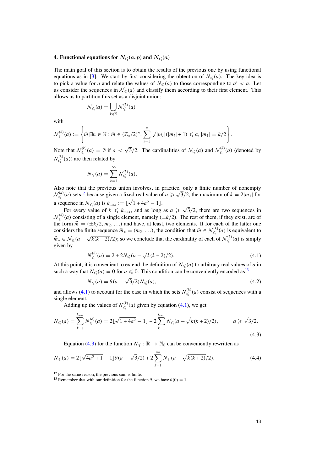# <span id="page-13-0"></span>**4. Functional equations for**  $N_{\leqslant}(a,p)$  **and**  $N_{\leqslant}(a)$

The main goal of this section is to obtain the results of the previous one by using functional equations as in [\[3\]](#page-22-0). We start by first considering the obtention of  $N_{\leq}(a)$ . The key idea is to pick a value for *a* and relate the values of  $N_{\leq}(a)$  to those corresponding to  $a' < a$ . Let us consider the sequences in  $\mathcal{N}_{\leq}(a)$  and classify them according to their first element. This allows us to partition this set as a disjoint union:

$$
\mathcal{N}_{\leqslant}(a) = \bigcup_{k \in \mathbb{N}} \mathcal{N}_{\leqslant}^{(k)}(a)
$$

with

$$
\mathcal{N}_{\leqslant}^{(k)}(a) := \left\{\vec{m} | \exists n \in \mathbb{N} : \vec{m} \in (\mathbb{Z}_{*}/2)^{n}, \sum_{i=1}^{n} \sqrt{|m_{i}|(|m_{i}|+1)} \leqslant a, |m_{1}| = k/2\right\}.
$$

Note that  $\mathcal{N}^{(k)}_{\leq}(a) = \emptyset$  if  $a < \sqrt{3}/2$ . The cardinalities of  $\mathcal{N}_{\leq}(a)$  and  $\mathcal{N}^{(k)}_{\leq}(a)$  (denoted by  $N^{(k)}_{\leq}(a)$  are then related by

$$
N_{\leqslant}(a) = \sum_{k=1}^{\infty} N_{\leqslant}^{(k)}(a).
$$

Also note that the previous union involves, in practice, only a finite number of nonempty Also note that the previous union involves, in practice, only a finite number of nonempty  $\mathcal{N}^{(k)}_{\leqslant}(a)$  sets<sup>12</sup> because given a fixed real value of  $a \geqslant \sqrt{3}/2$ , the maximum of  $k = 2|m_1|$  for a sequence in  $\mathcal{N}_{\leq}(a)$  is  $k_{\text{max}} := \lfloor \sqrt{1+4a^2}-1 \rfloor$ .

For every value of  $k \leq k_{\text{max}}$ , and as long as  $a \geq \sqrt{3}/2$ , there are two sequences in  $\mathcal{N}_{\leq 0}^{(k)}(a)$  consisting of a single element, namely  $(\pm k/2)$ . The rest of them, if they exist, are of the form  $\vec{m} = (\pm k/2, m_2, ...)$  and have, at least, two elements. If for each of the latter one considers the finite sequence  $\vec{m}_* = (m_2, \ldots)$ , the condition that  $\vec{m} \in \mathcal{N}^{(k)}_{\leq 0}$  is equivalent to  $\vec{m}_* \in \mathcal{N}_{\leq}(a - \sqrt{k(k+2)}/2)$ ; so we conclude that the cardinality of each of  $\mathcal{N}_{\leq}(a)$  is simply given by

$$
N_{\leqslant}^{(k)}(a) = 2 + 2N_{\leqslant}(a - \sqrt{k(k+2)}/2). \tag{4.1}
$$

At this point, it is convenient to extend the definition of  $N_{\leq}(a)$  to arbitrary real values of *a* in such a way that  $N_{\leq}(a) = 0$  for  $a \leq 0$ . This condition can be conveniently encoded as<sup>13</sup>

$$
N_{\leqslant}(a) = \theta(a - \sqrt{3}/2)N_{\leqslant}(a),\tag{4.2}
$$

and allows (4.1) to account for the case in which the sets  $N^{(k)}_{\leq}(a)$  consist of sequences with a single element.

Adding up the values of  $N^{(k)}_{\leq}(a)$  given by equation (4.1), we get

$$
N_{\leqslant}(a) = \sum_{k=1}^{k_{\text{max}}} N_{\leqslant}^{(k)}(a) = 2\lfloor\sqrt{1+4a^2} - 1\rfloor + 2\sum_{k=1}^{k_{\text{max}}} N_{\leqslant}(a - \sqrt{k(k+2)}/2), \qquad a \geqslant \sqrt{3}/2. \tag{4.3}
$$

Equation (4.3) for the function  $N_{\leqslant} : \mathbb{R} \to \mathbb{N}_0$  can be conveniently rewritten as

$$
N_{\leqslant}(a) = 2\lfloor\sqrt{4a^2 + 1} - 1\rfloor\theta(a - \sqrt{3}/2) + 2\sum_{k=1}^{\infty} N_{\leqslant}(a - \sqrt{k(k+2)}/2),\tag{4.4}
$$

 $12$  For the same reason, the previous sum is finite.

<sup>13</sup> Remember that with our definition for the function  $\theta$ , we have  $\theta(0) = 1$ .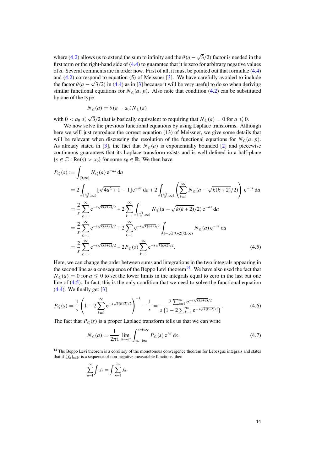<span id="page-14-0"></span>where (4.[2\)](#page-13-0) allows us to extend the sum to infinity and the  $\theta(a - \sqrt{3}/2)$  factor is needed in the first term or the right-hand side of (4*.*[4\)](#page-13-0) to guarantee that it is zero for arbitrary negative values of *a*. Several comments are in order now. First of all, it must be pointed out that formulae (4*.*[4\)](#page-13-0) and (4*.*[2\)](#page-13-0) correspond to equation (5) of Meissner [\[3](#page-22-0)]. We have carefully avoided to include the factor  $\theta$ ( $a - \sqrt{3}/2$ ) in (4.[4\)](#page-13-0) as in [\[3\]](#page-22-0) because it will be very useful to do so when deriving similar functional equations for  $N_{\leq}(a, p)$ . Also note that condition (4.[2\)](#page-13-0) can be substituted by one of the type

$$
N_{\leqslant}(a) = \theta(a - a_0)N_{\leqslant}(a)
$$

with  $0 < a_0 \le \sqrt{3}/2$  that is basically equivalent to requiring that  $N_{\le}(a) = 0$  for  $a \le 0$ .

We now solve the previous functional equations by using Laplace transforms. Although here we will just reproduce the correct equation (13) of Meissner, we give some details that will be relevant when discussing the resolution of the functional equations for  $N_{\leq}(a, p)$ . As already stated in [\[3\]](#page-22-0), the fact that  $N_{\leq}(a)$  is exponentially bounded [\[2](#page-22-0)] and piecewise continuous guarantees that its Laplace transform exists and is well defined in a half-plane  ${s \in \mathbb{C} : \text{Re}(s) > x_0}$  for some  $x_0 \in \mathbb{R}$ . We then have

$$
P_{\leq}(s) := \int_{[0,\infty)} N_{\leq}(a) e^{-as} da
$$
  
\n
$$
= 2 \int_{[\frac{\sqrt{3}}{2},\infty)} \left[ \sqrt{4a^2 + 1} - 1 \right] e^{-as} da + 2 \int_{[\frac{\sqrt{3}}{2},\infty)} \left( \sum_{k=1}^{\infty} N_{\leq}(a - \sqrt{k(k+2)}/2) \right) e^{-as} da
$$
  
\n
$$
= \frac{2}{s} \sum_{k=1}^{\infty} e^{-s\sqrt{k(k+2)}}/2 + 2 \sum_{k=1}^{\infty} \int_{[\frac{\sqrt{3}}{2},\infty)} N_{\leq}(a - \sqrt{k(k+2)}/2) e^{-as} da
$$
  
\n
$$
= \frac{2}{s} \sum_{k=1}^{\infty} e^{-s\sqrt{k(k+2)}}/2 + 2 \sum_{k=1}^{\infty} e^{-s\sqrt{k(k+2)}}/2 \int_{[-\sqrt{k(k+2)}/2,\infty)} N_{\leq}(a) e^{-as} da
$$
  
\n
$$
= \frac{2}{s} \sum_{k=1}^{\infty} e^{-s\sqrt{k(k+2)}}/2 + 2P_{\leq}(s) \sum_{k=1}^{\infty} e^{-s\sqrt{k(k+2)}}/2.
$$
 (4.5)

Here, we can change the order between sums and integrations in the two integrals appearing in the second line as a consequence of the Beppo Levi theorem<sup>14</sup>. We have also used the fact that  $N_{\leq}(a) = 0$  for  $a \leq 0$  to set the lower limits in the integrals equal to zero in the last but one line of (4*.*5). In fact, this is the only condition that we need to solve the functional equation (4*.*[4\)](#page-13-0). We finally get [\[3](#page-22-0)]

$$
P_{\leqslant}(s) = \frac{1}{s} \left( 1 - 2 \sum_{k=1}^{\infty} e^{-s\sqrt{k(k+2)}}/2 \right)^{-1} - \frac{1}{s} = \frac{2 \sum_{k=1}^{\infty} e^{-s\sqrt{k(k+2)}}/2}{s \left( 1 - 2 \sum_{k=1}^{\infty} e^{-s\sqrt{k(k+2)}}/2 \right)}.
$$
(4.6)

The fact that  $P_{\leq}(s)$  is a proper Laplace transform tells us that we can write

$$
N_{\leqslant}(a) = \frac{1}{2\pi i} \lim_{A \to a^{+}} \int_{x_{0}-i\infty}^{x_{0}+i\infty} P_{\leqslant}(s) e^{As} ds.
$$
 (4.7)

<sup>14</sup> The Beppo Levi theorem is a corollary of the monotonous convergence theorem for Lebesgue integrals and states that if  ${f_n}_{n \in \mathbb{N}}$  is a sequence of non-negative measurable functions, then

$$
\sum_{n=1}^{\infty} \int f_n = \int \sum_{n=1}^{\infty} f_n.
$$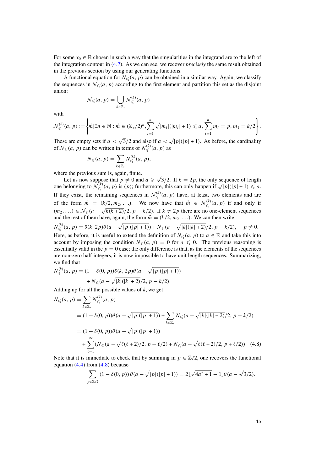<span id="page-15-0"></span>For some  $x_0 \in \mathbb{R}$  chosen in such a way that the singularities in the integrand are to the left of the integration contour in [\(4](#page-14-0)*.*7). As we can see, we recover *precisely* the same result obtained in the previous section by using our generating functions.

A functional equation for  $N_{\leq}(a, p)$  can be obtained in a similar way. Again, we classify the sequences in  $\mathcal{N}_{\leq}(a, p)$  according to the first element and partition this set as the disjoint union:

$$
\mathcal{N}_{\leqslant}(a, p) = \bigcup_{k \in \mathbb{Z}_{*}} \mathcal{N}_{\leqslant}^{(k)}(a, p)
$$

with

$$
\mathcal{N}_{\leqslant}^{(k)}(a, p) := \left\{\vec{m} | \exists n \in \mathbb{N} : \vec{m} \in (\mathbb{Z}_{*}/2)^{n}, \sum_{i=1}^{n} \sqrt{|m_{i}|(|m_{i}| + 1)} \leqslant a, \sum_{i=1}^{n} m_{i} = p, m_{1} = k/2\right\}.
$$

These are empty sets if  $a < \sqrt{3}/2$  and also if  $a < \sqrt{|p|(|p|+1)}$ . As before, the cardinality of  $\mathcal{N}_{\leq}(a, p)$  can be written in terms of  $N_{\leq}(a, p)$  as

$$
N_{\leqslant}(a, p) = \sum_{k \in \mathbb{Z}_*} N_{\leqslant}^{(k)}(a, p),
$$

where the previous sum is, again, finite.

Let us now suppose that  $p \neq 0$  and  $a \geq \sqrt{3}/2$ . If  $k = 2p$ , the only sequence of length Let us now suppose that  $p \neq 0$  and  $a \neq \sqrt{5}/2$ . If  $k = 2p$ , the only sequence of length one belonging to  $\mathcal{N}^k_{\leq}(a, p)$  is  $(p)$ ; furthermore, this can only happen if  $\sqrt{|p|(|p|+1)} \leq a$ . If they exist, the remaining sequences in  $\mathcal{N}^{(k)}_{\leqslant}(a, p)$  have, at least, two elements and are of the form  $\vec{m} = (k/2, m_2, \ldots)$ . We now have that  $\vec{m} \in \mathcal{N}_{\leq}(a, p)$  if and only if  $(m_2, \ldots) \in \mathcal{N}_{\leq}(a - \sqrt{k(k+2)}/2, p - k/2)$ . If  $k \neq 2p$  there are no one-element sequences and the rest of them have, again, the form  $\vec{m} = (k/2, m_2, \ldots)$ . We can then write

$$
N^{(k)}_{\leq}(a, p) = \delta(k, 2p)\theta(a - \sqrt{|p|(|p|+1)}) + N_{\leq}(a - \sqrt{|k|(|k|+2)}/2, p - k/2), \quad p \neq 0.
$$
  
Here, as before, it is useful to extend the definition of  $N_{\leq}(a, p)$  to  $a \in \mathbb{R}$  and take this into

account by imposing the condition  $N_{\leq}(a, p) = 0$  for  $a \leq 0$ . The previous reasoning is essentially valid in the  $p = 0$  case; the only difference is that, as the elements of the sequences are non-zero half integers, it is now impossible to have unit length sequences. Summarizing, we find that

$$
N^{(k)}_{\leq}(a, p) = (1 - \delta(0, p))\delta(k, 2p)\theta(a - \sqrt{|p|(|p| + 1)})
$$

$$
+ N_{\leq}(a - \sqrt{|k|(|k| + 2)}/2, p - k/2).
$$

Adding up for all the possible values of *k*, we get

$$
N_{\leq}(a, p) = \sum_{k \in \mathbb{Z}_{*}} N_{\leq}(a, p)
$$
  
=  $(1 - \delta(0, p))\theta(a - \sqrt{|p|(|p| + 1)}) + \sum_{k \in \mathbb{Z}_{*}} N_{\leq}(a - \sqrt{|k|(|k| + 2)}/2, p - k/2)$   
=  $(1 - \delta(0, p))\theta(a - \sqrt{|p|(|p| + 1)}) + \sum_{\ell=1}^{\infty} (N_{\leq}(a - \sqrt{\ell(\ell + 2)}/2, p - \ell/2) + N_{\leq}(a - \sqrt{\ell(\ell + 2)}/2, p + \ell/2)).$  (4.8)

Note that it is immediate to check that by summing in  $p \in \mathbb{Z}/2$ , one recovers the functional equation [\(4](#page-13-0)*.*4) from (4*.*8) because

$$
\sum_{p \in \mathbb{Z}/2} (1 - \delta(0, p)) \theta(a - \sqrt{|p|(|p| + 1)}) = 2\lfloor \sqrt{4a^2 + 1} - 1 \rfloor \theta(a - \sqrt{3}/2).
$$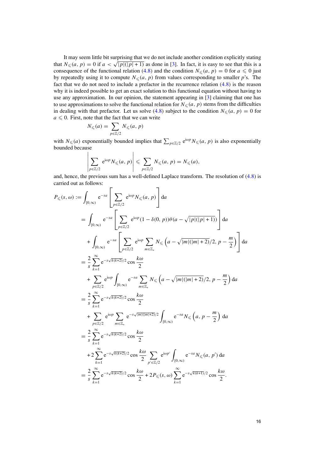It may seem little bit surprising that we do not include another condition explicitly stating that  $N_{\leq}(a, p) = 0$  if  $a < \sqrt{|p|(|p|+1)}$  as done in [\[3\]](#page-22-0). In fact, it is easy to see that this is a consequence of the functional relation [\(4](#page-15-0).8) and the condition  $N_{\leq}(a, p) = 0$  for  $a \leq 0$  just by repeatedly using it to compute  $N_{\leq}(a, p)$  from values corresponding to smaller *p*'s. The fact that we do not need to include a prefactor in the recurrence relation (4*.*[8\)](#page-15-0) is the reason why it is indeed possible to get an exact solution to this functional equation without having to use any approximation. In our opinion, the statement appearing in [\[3\]](#page-22-0) claiming that one has to use approximations to solve the functional relation for  $N_{\leqslant}(a,\,p)$  stems from the difficulties in dealing with that prefactor. Let us solve [\(4](#page-15-0).8) subject to the condition  $N_{\leq}(a, p) = 0$  for  $a \le 0$ . First, note that the fact that we can write

$$
N_{\leqslant}(a)=\sum_{p\in\mathbb{Z}/2}N_{\leqslant}(a,\,p)
$$

with  $N_{\leq}(a)$  exponentially bounded implies that  $\sum_{p \in \mathbb{Z}/2} e^{i\omega p} N_{\leq}(a, p)$  is also exponentially bounded because  $\overline{1}$ 

$$
\left|\sum_{p\in\mathbb{Z}/2}e^{i\omega p}N_{\leqslant}(a, p)\right|\leqslant \sum_{p\in\mathbb{Z}/2}N_{\leqslant}(a, p)=N_{\leqslant}(a),
$$

and, hence, the previous sum has a well-defined Laplace transform. The resolution of [\(4](#page-15-0)*.*8) is carried out as follows:

$$
P_{\leq}(s,\omega) := \int_{[0,\infty)} e^{-sa} \left[ \sum_{p \in \mathbb{Z}/2} e^{i\omega p} N_{\leq}(a, p) \right] da
$$
  
\n
$$
= \int_{[0,\infty)} e^{-sa} \left[ \sum_{p \in \mathbb{Z}/2} e^{i\omega p} (1 - \delta(0, p)) \theta(a - \sqrt{|p|(|p|+1)}) \right] da
$$
  
\n
$$
+ \int_{[0,\infty)} e^{-sa} \left[ \sum_{p \in \mathbb{Z}/2} e^{i\omega p} \sum_{m \in \mathbb{Z}_*} N_{\leq}(a - \sqrt{|m|(|m|+2)}/2, p - \frac{m}{2}) \right] da
$$
  
\n
$$
= \frac{2}{s} \sum_{k=1}^{\infty} e^{-s\sqrt{k(k+2)}} / 2 \cos \frac{k\omega}{2}
$$
  
\n
$$
+ \sum_{p \in \mathbb{Z}/2} e^{i\omega p} \int_{[0,\infty)} e^{-sa} \sum_{m \in \mathbb{Z}_*} N_{\leq}(a - \sqrt{|m|(|m|+2)}/2, p - \frac{m}{2}) da
$$
  
\n
$$
= \frac{2}{s} \sum_{k=1}^{\infty} e^{-s\sqrt{k(k+2)}} / 2 \cos \frac{k\omega}{2}
$$
  
\n
$$
+ \sum_{p \in \mathbb{Z}/2} e^{i\omega p} \sum_{m \in \mathbb{Z}_*} e^{-s\sqrt{|m|(|m|+2)}/2} \int_{[0,\infty)} e^{-sa} N_{\leq}(a, p - \frac{m}{2}) da
$$
  
\n
$$
= \frac{2}{s} \sum_{k=1}^{\infty} e^{-s\sqrt{k(k+2)}} / 2 \cos \frac{k\omega}{2}
$$
  
\n
$$
+ 2 \sum_{k=1}^{\infty} e^{-s\sqrt{k(k+2)}} / 2 \cos \frac{k\omega}{2} \sum_{p' \in \mathbb{Z}/2} e^{i\omega p'} \int_{[0,\infty)} e^{-sa} N_{\leq}(a, p') da
$$
  
\n
$$
= \frac{2}{s} \sum_{k=1}^{\infty} e^{-s\sqrt{k(k+2)}} / 2 \cos \frac{k\omega}{2} + 2 P_{\leq}(s, \omega) \sum_{
$$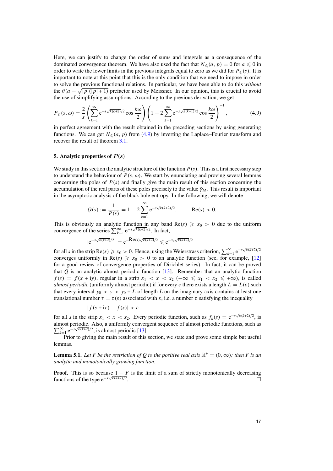<span id="page-17-0"></span>Here, we can justify to change the order of sums and integrals as a consequence of the dominated convergence theorem. We have also used the fact that  $N_{\leq}(a, p) = 0$  for  $a \leq 0$  in order to write the lower limits in the previous integrals equal to zero as we did for  $P_{\leqslant}(s)$ . It is important to note at this point that this is the only condition that we need to impose in order to solve the previous functional relations. In particular, we have been able to do this *without* the  $\theta(a - \sqrt{|p|(|p|+1)}$  prefactor used by Meissner. In our opinion, this is crucial to avoid the use of simplifying assumptions. According to the previous derivation, we get

$$
P_{\leqslant}(s,\omega) = \frac{2}{s} \left( \sum_{k=1}^{\infty} e^{-s\sqrt{k(k+2)}}/2 \cos \frac{k\omega}{2} \right) \left( 1 - 2 \sum_{k=1}^{\infty} e^{-s\sqrt{k(k+1)}}/2 \cos \frac{k\omega}{2} \right)^{-1},\tag{4.9}
$$

in perfect agreement with the result obtained in the preceding sections by using generating functions. We can get  $N_{\leq}(a, p)$  from (4.9) by inverting the Laplace–Fourier transform and recover the result of theorem [3.1.](#page-12-0)

#### **5.** Analytic properties of  $P(s)$

We study in this section the analytic structure of the function  $P(s)$ . This is a first necessary step to understand the behaviour of  $P(s, \omega)$ . We start by enunciating and proving several lemmas concerning the poles of  $P(s)$  and finally give the main result of this section concerning the accumulation of the real parts of these poles precisely to the value  $\tilde{\gamma}_M$ . This result is important in the asymptotic analysis of the black hole entropy. In the following, we will denote

$$
Q(s) := \frac{1}{P(s)} = 1 - 2 \sum_{k=1}^{\infty} e^{-s\sqrt{k(k+2)}/2}, \qquad \text{Re}(s) > 0.
$$

This is obviously an analytic function in any band  $\text{Re}(s) \geq x_0 > 0$  due to the uniform convergence of the series  $\sum_{k=1}^{\infty} e^{-s\sqrt{k(k+2)}}$ . In fact,

$$
|e^{-s\sqrt{k(k+2)}/2}|=e^{-Re(s)\sqrt{k(k+2)}/2}\leqslant e^{-x_0\sqrt{k(k+2)}/2}
$$

for all *s* in the strip  $Re(s) \ge x_0 > 0$ . Hence, using the Weierstrass criterion,  $\sum_{k=1}^{\infty} e^{-s\sqrt{k(k+2)}}/2$ converges uniformly in  $\text{Re}(s) \geq x_0 > 0$  to an analytic function (see, for example, [\[12\]](#page-22-0) for a good review of convergence properties of Dirichlet series). In fact, it can be proved that *Q* is an analytic almost periodic function [\[13\]](#page-22-0). Remember that an analytic function  $f(s) = f(x + iy)$ , regular in a strip  $x_1 < x < x_2$  ( $-\infty \le x_1 < x_2 \le +\infty$ ), is called *almost periodic* (uniformly almost periodic) if for every  $\varepsilon$  there exists a length  $L = L(\varepsilon)$  such that every interval  $y_0 < y < y_0 + L$  of length *L* on the imaginary axis contains at least one translational number  $τ = τ(ε)$  associated with  $ε$ , i.e. a number  $τ$  satisfying the inequality

$$
|f(s + i\tau) - f(s)| < \varepsilon
$$

for all *s* in the strip  $x_1 < x < x_2$ . Every periodic function, such as  $f_k(s) = e^{-s\sqrt{k(k+2)}}/2$ , is almost periodic. Also, a uniformly convergent sequence of almost periodic functions, such as  $\sum_{k=1}^{\infty} e^{-s\sqrt{k(k+2)}}/2$ , is almost periodic [\[13\]](#page-22-0).

Prior to giving the main result of this section, we state and prove some simple but useful lemmas.

**Lemma 5.1.** *Let F be the restriction of Q to the positive real axis*  $\mathbb{R}^+ = (0, \infty)$ *; then F is an analytic and monotonically growing function.*

**Proof.** This is so because  $1 - F$  is the limit of a sum of strictly monotonically decreasing functions of the type  $e^{-x\sqrt{k(k+2)/2}}$ . functions of the type  $e^{-x\sqrt{k(k+2)/2}}$ .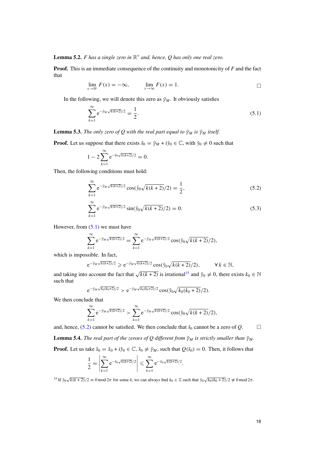<span id="page-18-0"></span>**Proof.** This is an immediate consequence of the continuity and monotonicity of *F* and the fact that

$$
\lim_{x \to 0^+} F(x) = -\infty, \qquad \lim_{x \to \infty} F(x) = 1.
$$

In the following, we will denote this zero as  $\tilde{\gamma}_M$ . It obviously satisfies

$$
\sum_{k=1}^{\infty} e^{-\tilde{\gamma}_M \sqrt{k(k+2)}/2} = \frac{1}{2}.
$$
\n(5.1)

## **Lemma 5.3.** *The only zero of Q with the real part equal to*  $\tilde{\gamma}_M$  *is*  $\tilde{\gamma}_M$  *itself.*

**Proof.** Let us suppose that there exists  $\tilde{s}_0 = \tilde{\gamma}_M + i\tilde{y}_0 \in \mathbb{C}$ , with  $\tilde{y}_0 \neq 0$  such that

$$
1 - 2\sum_{k=1}^{\infty} e^{-\tilde{s}_0\sqrt{k(k+2)}}/2 = 0.
$$

Then, the following conditions must hold:

$$
\sum_{k=1}^{\infty} e^{-\tilde{\gamma}_M \sqrt{k(k+2)}/2} \cos(\tilde{y}_0 \sqrt{k(k+2)}/2) = \frac{1}{2},
$$
\n(5.2)

$$
\sum_{k=1}^{\infty} e^{-\tilde{\gamma}_M \sqrt{k(k+2)}/2} \sin(\tilde{\gamma}_0 \sqrt{k(k+2)}/2) = 0.
$$
 (5.3)

However, from (5*.*1) we must have

$$
\sum_{k=1}^{\infty} e^{-\tilde{\gamma}_M \sqrt{k(k+2)}/2} = \sum_{k=1}^{\infty} e^{-\tilde{\gamma}_M \sqrt{k(k+2)}/2} \cos(\tilde{y}_0 \sqrt{k(k+2)}/2),
$$

which is impossible. In fact,

$$
e^{-\tilde{\gamma}_M\sqrt{k(k+2)}/2} \geq e^{-\tilde{\gamma}_M\sqrt{k(k+2)}/2} \cos(\tilde{y}_0\sqrt{k(k+2)}/2), \qquad \forall k \in \mathbb{N},
$$

and taking into account the fact that  $\sqrt{k(k+2)}$  is irrational<sup>15</sup> and  $\tilde{y}_0 \neq 0$ , there exists  $k_0 \in \mathbb{N}$ such that

$$
e^{-\tilde{\gamma}_M\sqrt{k_0(k_0+2)}/2} > e^{-\tilde{\gamma}_M\sqrt{k_0(k_0+2)}/2} \cos(\tilde{y}_0\sqrt{k_0(k_0+2)}/2).
$$

We then conclude that

$$
\sum_{k=1}^{\infty} e^{-\tilde{\gamma}_M \sqrt{k(k+2)}/2} > \sum_{k=1}^{\infty} e^{-\tilde{\gamma}_M \sqrt{k(k+2)}/2} \cos(\tilde{y}_0 \sqrt{k(k+2)}/2),
$$

and, hence, (5.2) cannot be satisfied. We then conclude that  $\tilde{s}_0$  cannot be a zero of  $Q$ .

**Lemma 5.4.** *The real part of the zeroes of Q different from*  $\tilde{\gamma}_M$  *is strictly smaller than*  $\tilde{\gamma}_M$ *.* 

**Proof.** Let us take  $\tilde{s}_0 = \tilde{x}_0 + i\tilde{y}_0 \in \mathbb{C}$ ,  $\tilde{s}_0 \neq \tilde{\gamma}_M$ , such that  $Q(\tilde{s}_0) = 0$ . Then, it follows that

$$
\frac{1}{2} = \left| \sum_{k=1}^{\infty} e^{-\tilde{x}_0 \sqrt{k(k+2)}}/2 \right| \leq \sum_{k=1}^{\infty} e^{-\tilde{x}_0 \sqrt{k(k+2)}}/2.
$$

<sup>15</sup> If  $\tilde{y}_0 \sqrt{k(k+2)}/2 \equiv 0 \mod 2\pi$  for some *k*, we can always find  $k_0 \in \mathbb{Z}$  such that  $\tilde{y}_0 \sqrt{k_0(k_0+2)}/2 \not\equiv 0 \mod 2\pi$ .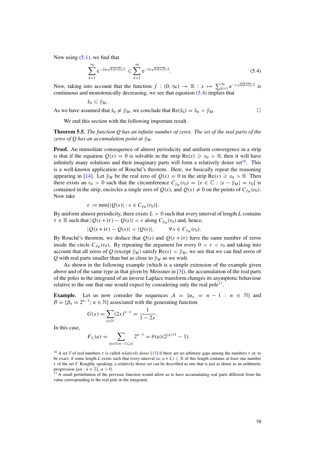Now using [\(5](#page-18-0)*.*1), we find that

$$
\sum_{k=1}^{\infty} e^{-\tilde{\gamma}_M \sqrt{k(k+2)}/2} \leq \sum_{k=1}^{\infty} e^{-\tilde{x}_0 \sqrt{k(k+2)}/2}.
$$
 (5.4)

Now, taking into account that the function  $f : (0, \infty) \to \mathbb{R} : x \mapsto \sum_{k=1}^{\infty} e^{-x\sqrt{k(k+2)}}/2$  is continuous and monotonically decreasing, we see that equation (5*.*4) implies that

$$
\tilde{x}_0\leqslant \tilde{\gamma}_M.
$$

As we have assumed that  $\tilde{s}_0 \neq \tilde{\gamma}_M$ , we conclude that  $\text{Re}(\tilde{s}_0) = \tilde{x}_0 < \tilde{\gamma}_M$ .

We end this section with the following important result.

**Theorem 5.5.** *The function Q has an infinite number of zeros. The set of the real parts of the zeros of Q has an accumulation point at γ*˜*M.*

**Proof.** An immediate consequence of almost periodicity and uniform convergence in a strip is that if the equation  $Q(s) = 0$  is solvable in the strip  $Re(s) \ge x_0 > 0$ , then it will have infinitely many solutions and their imaginary parts will form a relatively dense set<sup>16</sup>. This is a well-known application of Rouché's theorem. Here, we basically repeat the reasoning appearing in [\[14\]](#page-22-0). Let  $\tilde{\gamma}_M$  be the real zero of  $Q(s) = 0$  in the strip Re $(s) \geq x_0 > 0$ . Then there exists an  $r_0 > 0$  such that the circumference  $C_{\tilde{\gamma}_M}(r_0) = \{s \in \mathbb{C} : |s - \tilde{\gamma}_M| = r_0\}$  is contained in the strip, encircles a single zero of  $Q(s)$ , and  $Q(s) \neq 0$  on the points of  $C_{\tilde{\nu}_M}(r_0)$ . Now take

$$
\varepsilon := \min\{|Q(s)| : s \in C_{\tilde{\gamma}_M}(r_0)\}.
$$

By uniform almost periodicity, there exists  $L > 0$  such that every interval of length L contains  $\tau \in \mathbb{R}$  such that  $|Q(s + i\tau) - Q(s)| < \varepsilon$  along  $C_{\tilde{\nu}_M}(r_0)$  and, hence,

$$
|Q(s + i\tau) - Q(s)| < |Q(s)|, \quad \forall s \in C_{\tilde{\gamma}_M}(r_0).
$$

By Rouché's theorem, we deduce that  $Q(s)$  and  $Q(s + i\tau)$  have the same number of zeros inside the circle  $C_{\tilde{\gamma}_M}(r_0)$ . By repeating the argument for every  $0 < r < r_0$  and taking into account that all zeros of *Q* (except  $\tilde{\gamma}_M$ ) satisfy  $Re(s) < \tilde{\gamma}_M$ , we see that we can find zeros of *Q* with real parts smaller than but as close to  $\tilde{\gamma}_M$  as we wish.

As shown in the following example (which is a simple extension of the example given above and of the same type as that given by Meissner in [\[3\]](#page-22-0)), the accumulation of the real parts of the poles in the integrand of an inverse Laplace transform changes its asymptotic behaviour relative to the one that one would expect by considering only the real pole<sup>17</sup>.

**Example.** Let us now consider the sequences  $A = \{ \alpha_n = n - 1 : n \in \mathbb{N} \}$  and  $B = \{ \beta_n = 2^{n-1}; n \in \mathbb{N} \}$  associated with the generating function

$$
G(x) = \sum_{n \in \mathbb{N}} (2x)^{n-1} = \frac{1}{1 - 2x}.
$$

In this case,

$$
F_{\leqslant}(a) = \sum_{\{n \in \mathbb{N}: n-1 \leqslant a\}} 2^{n-1} = \theta(a) (2^{\lfloor a \rfloor + 1} - 1).
$$

<sup>16</sup> A set *T* of real numbers *τ* is called *relatively dense* [\[13](#page-22-0)] if there are no arbitrary gaps among the numbers *τ* or, to be exact, if some length *L* exists such that every interval  $(a, a + L) \subset \mathbb{R}$  of this length contains at least one number *τ* of the set *T*. Roughly speaking, a relatively dense set can be described as one that is just as dense as an arithmetic progression { $\alpha n : n \in \mathbb{Z}$ },  $\alpha > 0$ .

<sup>17</sup> A small perturbation of the previous function would allow us to have accumulating real parts different from the value corresponding to the real pole in the integrand.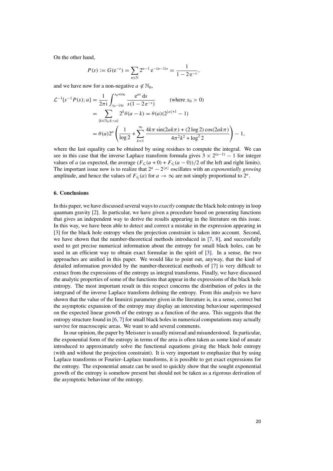<span id="page-20-0"></span>On the other hand,

$$
P(s) := G(e^{-s}) = \sum_{n \in \mathbb{N}} 2^{n-1} e^{-(n-1)s} = \frac{1}{1 - 2e^{-s}},
$$

and we have now for a non-negative  $a \notin \mathbb{N}_0$ ,

$$
\mathcal{L}^{-1}[s^{-1}P(s); a] = \frac{1}{2\pi i} \int_{x_0 - i\infty}^{x_0 + i\infty} \frac{e^{as} ds}{s(1 - 2e^{-s})}
$$
 (where  $x_0 > 0$ )  
\n
$$
= \sum_{\{k \in \mathbb{N}_0 : k < a\}} 2^k \theta(a - k) = \theta(a)(2^{\lfloor a \rfloor + 1} - 1)
$$
\n
$$
= \theta(a) 2^a \left( \frac{1}{\log 2} + \sum_{k=1}^{\infty} \frac{4k\pi \sin(2ak\pi) + (2\log 2)\cos(2ak\pi)}{4\pi^2 k^2 + \log^2 2} \right) - 1,
$$

where the last equality can be obtained by using residues to compute the integral. We can see in this case that the inverse Laplace transform formula gives  $3 \times 2^{(a-1)} - 1$  for integer values of *a* (as expected, the average  $(F_{\leq}(a+0) + F_{\leq}(a-0))/2$  of the left and right limits). The important issue now is to realize that  $2^a - 2^{\lfloor a \rfloor}$  oscillates with an *exponentially growing* amplitude, and hence the values of  $F_{\leq}(a)$  for  $a \to \infty$  are not simply proportional to  $2^a$ .

#### **6. Conclusions**

In this paper, we have discussed several ways to *exactly* compute the black hole entropy in loop quantum gravity [\[2\]](#page-22-0). In particular, we have given a procedure based on generating functions that gives an independent way to derive the results appearing in the literature on this issue. In this way, we have been able to detect and correct a mistake in the expression appearing in [\[3\]](#page-22-0) for the black hole entropy when the projection constraint is taken into account. Second, we have shown that the number-theoretical methods introduced in [\[7](#page-22-0), [8\]](#page-22-0), and successfully used to get precise numerical information about the entropy for small black holes, can be used in an efficient way to obtain exact formulae in the spirit of [\[3](#page-22-0)]. In a sense, the two approaches are unified in this paper. We would like to point out, anyway, that the kind of detailed information provided by the number-theoretical methods of [\[7](#page-22-0)] is very difficult to extract from the expressions of the entropy as integral transforms. Finally, we have discussed the analytic properties of some of the functions that appear in the expressions of the black hole entropy. The most important result in this respect concerns the distribution of poles in the integrand of the inverse Laplace transform defining the entropy. From this analysis we have shown that the value of the Immirzi parameter given in the literature is, in a sense, correct but the asymptotic expansion of the entropy may display an interesting behaviour superimposed on the expected linear growth of the entropy as a function of the area. This suggests that the entropy structure found in  $[6, 7]$  $[6, 7]$  $[6, 7]$  for small black holes in numerical computations may actually survive for macroscopic areas. We want to add several comments.

In our opinion, the paper by Meissner is usually misread and misunderstood. In particular, the exponential form of the entropy in terms of the area is often taken as some kind of ansatz introduced to approximately solve the functional equations giving the black hole entropy (with and without the projection constraint). It is very important to emphasize that by using Laplace transforms or Fourier–Laplace transforms, it is possible to get exact expressions for the entropy. The exponential ansatz can be used to quickly show that the sought exponential growth of the entropy is somehow present but should not be taken as a rigorous derivation of the asymptotic behaviour of the entropy.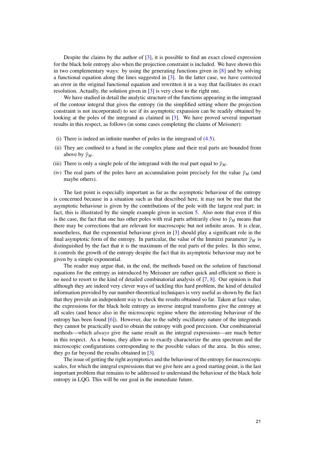Despite the claims by the author of  $[3]$ , it is possible to find an exact closed expression for the black hole entropy also when the projection constraint is included. We have shown this in two complementary ways: by using the generating functions given in [\[8\]](#page-22-0) and by solving a functional equation along the lines suggested in [\[3\]](#page-22-0). In the latter case, we have corrected an error in the original functional equation and rewritten it in a way that facilitates its exact resolution. Actually, the solution given in [\[3\]](#page-22-0) is very close to the right one.

We have studied in detail the analytic structure of the functions appearing in the integrand of the contour integral that gives the entropy (in the simplified setting where the projection constraint is not incorporated) to see if its asymptotic expansion can be readily obtained by looking at the poles of the integrand as claimed in [\[3](#page-22-0)]. We have proved several important results in this respect, as follows (in some cases completing the claims of Meissner):

- (i) There is indeed an infinite number of poles in the integrand of (4*.*[5\)](#page-14-0).
- (ii) They are confined to a band in the complex plane and their real parts are bounded from above by ˜*γM*.
- (iii) There is only a single pole of the integrand with the real part equal to  $\tilde{\gamma}_M$ .
- (iv) The real parts of the poles have an accumulation point precisely for the value  $\tilde{\gamma}_M$  (and maybe others).

The last point is especially important as far as the asymptotic behaviour of the entropy is concerned because in a situation such as that described here, it may not be true that the asymptotic behaviour is given by the contributions of the pole with the largest real part; in fact, this is illustrated by the simple example given in section [5.](#page-17-0) Also note that even if this is the case, the fact that one has other poles with real parts arbitrarily close to  $\tilde{\gamma}_M$  means that there may be corrections that are relevant for macroscopic but not infinite areas. It is clear, nonetheless, that the exponential behaviour given in [\[3](#page-22-0)] should play a significant role in the final asymptotic form of the entropy. In particular, the value of the Immirzi parameter  $\tilde{\gamma}_M$  is distinguished by the fact that it is the maximum of the real parts of the poles. In this sense, it controls the growth of the entropy despite the fact that its asymptotic behaviour may not be given by a simple exponential.

The reader may argue that, in the end, the methods based on the solution of functional equations for the entropy as introduced by Meissner are rather quick and efficient so there is no need to resort to the kind of detailed combinatorial analysis of [\[7](#page-22-0), [8\]](#page-22-0). Our opinion is that although they are indeed very clever ways of tackling this hard problem, the kind of detailed information provided by our number-theoretical techniques is very useful as shown by the fact that they provide an independent way to check the results obtained so far. Taken at face value, the expressions for the black hole entropy as inverse integral transforms give the entropy at all scales (and hence also in the microscopic regime where the interesting behaviour of the entropy has been found [\[6\]](#page-22-0)). However, due to the subtly oscillatory nature of the integrands they cannot be practically used to obtain the entropy with good precision. Our combinatorial methods—which *always* give the same result as the integral expressions—are much better in this respect. As a bonus, they allow us to exactly characterize the area spectrum and the microscopic configurations corresponding to the possible values of the area. In this sense, they go far beyond the results obtained in [\[3\]](#page-22-0).

The issue of getting the right asymptotics and the behaviour of the entropy for macroscopic scales, for which the integral expressions that we give here are a good starting point, is the last important problem that remains to be addressed to understand the behaviour of the black hole entropy in LQG. This will be our goal in the immediate future.